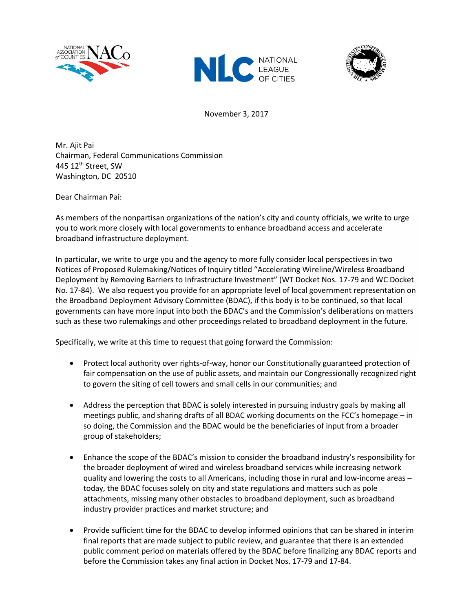





November 3, 2017

Mr. Ajit Pai Chairman, Federal Communications Commission 445 12<sup>th</sup> Street, SW Washington, DC 20510

Dear Chairman Pai:

As members of the nonpartisan organizations of the nation's city and county officials, we write to urge you to work more closely with local governments to enhance broadband access and accelerate broadband infrastructure deployment.

In particular, we write to urge you and the agency to more fully consider local perspectives in two Notices of Proposed Rulemaking/Notices of Inquiry titled "Accelerating Wireline/Wireless Broadband Deployment by Removing Barriers to Infrastructure Investment" (WT Docket Nos. 17-79 and WC Docket No. 17-84). We also request you provide for an appropriate level of local government representation on the Broadband Deployment Advisory Committee (BDAC), if this body is to be continued, so that local governments can have more input into both the BDAC's and the Commission's deliberations on matters such as these two rulemakings and other proceedings related to broadband deployment in the future.

Specifically, we write at this time to request that going forward the Commission:

- Protect local authority over rights-of-way, honor our Constitutionally guaranteed protection of fair compensation on the use of public assets, and maintain our Congressionally recognized right to govern the siting of cell towers and small cells in our communities; and
- Address the perception that BDAC is solely interested in pursuing industry goals by making all meetings public, and sharing drafts of all BDAC working documents on the FCC's homepage – in so doing, the Commission and the BDAC would be the beneficiaries of input from a broader group of stakeholders;
- Enhance the scope of the BDAC's mission to consider the broadband industry's responsibility for the broader deployment of wired and wireless broadband services while increasing network quality and lowering the costs to all Americans, including those in rural and low-income areas – today, the BDAC focuses solely on city and state regulations and matters such as pole attachments, missing many other obstacles to broadband deployment, such as broadband industry provider practices and market structure; and
- Provide sufficient time for the BDAC to develop informed opinions that can be shared in interim final reports that are made subject to public review, and guarantee that there is an extended public comment period on materials offered by the BDAC before finalizing any BDAC reports and before the Commission takes any final action in Docket Nos. 17-79 and 17-84.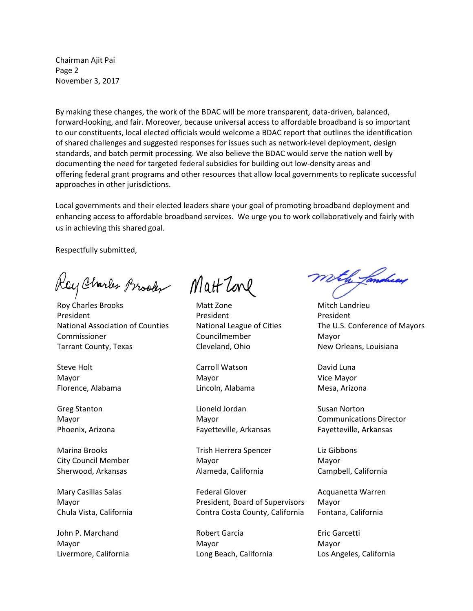Chairman Ajit Pai Page 2 November 3, 2017

By making these changes, the work of the BDAC will be more transparent, data-driven, balanced, forward-looking, and fair. Moreover, because universal access to affordable broadband is so important to our constituents, local elected officials would welcome a BDAC report that outlines the identification of shared challenges and suggested responses for issues such as network-level deployment, design standards, and batch permit processing. We also believe the BDAC would serve the nation well by documenting the need for targeted federal subsidies for building out low-density areas and offering federal grant programs and other resources that allow local governments to replicate successful approaches in other jurisdictions.

Local governments and their elected leaders share your goal of promoting broadband deployment and enhancing access to affordable broadband services. We urge you to work collaboratively and fairly with us in achieving this shared goal.

Respectfully submitted,

Roy Charles Brooks Matt Zone

Roy Charles Brooks President National Association of Counties Commissioner Tarrant County, Texas

Steve Holt Mayor Florence, Alabama

Greg Stanton Mayor Phoenix, Arizona

Marina Brooks City Council Member Sherwood, Arkansas

Mary Casillas Salas Mayor Chula Vista, California

John P. Marchand Mayor Livermore, California

Matt Zone President National League of Cities Councilmember Cleveland, Ohio

Carroll Watson Mayor Lincoln, Alabama

Lioneld Jordan Mayor Fayetteville, Arkansas

Trish Herrera Spencer Mayor Alameda, California

Federal Glover President, Board of Supervisors Contra Costa County, California

Robert Garcia Mayor Long Beach, California

mitch fandread

Mitch Landrieu President The U.S. Conference of Mayors Mayor New Orleans, Louisiana

David Luna Vice Mayor Mesa, Arizona

Susan Norton Communications Director Fayetteville, Arkansas

Liz Gibbons Mayor Campbell, California

Acquanetta Warren Mayor Fontana, California

Eric Garcetti Mayor Los Angeles, California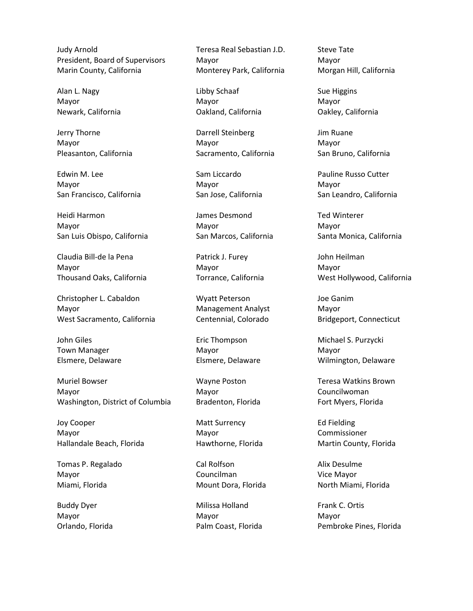Judy Arnold President, Board of Supervisors Marin County, California

Alan L. Nagy Mayor Newark, California

Jerry Thorne Mayor Pleasanton, California

Edwin M. Lee Mayor San Francisco, California

Heidi Harmon Mayor San Luis Obispo, California

Claudia Bill-de la Pena Mayor Thousand Oaks, California

Christopher L. Cabaldon Mayor West Sacramento, California

John Giles Town Manager Elsmere, Delaware

Muriel Bowser Mayor Washington, District of Columbia

Joy Cooper Mayor Hallandale Beach, Florida

Tomas P. Regalado Mayor Miami, Florida

Buddy Dyer Mayor Orlando, Florida Teresa Real Sebastian J.D. Mayor Monterey Park, California

Libby Schaaf Mayor Oakland, California

Darrell Steinberg Mayor Sacramento, California

Sam Liccardo Mayor San Jose, California

James Desmond Mayor San Marcos, California

Patrick J. Furey Mayor Torrance, California

Wyatt Peterson Management Analyst Centennial, Colorado

Eric Thompson Mayor Elsmere, Delaware

Wayne Poston Mayor Bradenton, Florida

Matt Surrency Mayor Hawthorne, Florida

Cal Rolfson Councilman Mount Dora, Florida

Milissa Holland Mayor Palm Coast, Florida Steve Tate Mayor Morgan Hill, California

Sue Higgins Mayor Oakley, California

Jim Ruane Mayor San Bruno, California

Pauline Russo Cutter Mayor San Leandro, California

Ted Winterer Mayor Santa Monica, California

John Heilman Mayor West Hollywood, California

Joe Ganim Mayor Bridgeport, Connecticut

Michael S. Purzycki Mayor Wilmington, Delaware

Teresa Watkins Brown Councilwoman Fort Myers, Florida

Ed Fielding Commissioner Martin County, Florida

Alix Desulme Vice Mayor North Miami, Florida

Frank C. Ortis Mayor Pembroke Pines, Florida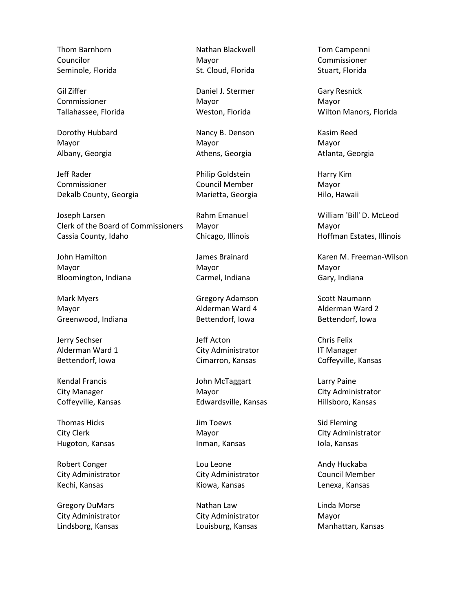Thom Barnhorn Councilor Seminole, Florida

Gil Ziffer Commissioner Tallahassee, Florida

Dorothy Hubbard Mayor Albany, Georgia

Jeff Rader Commissioner Dekalb County, Georgia

Joseph Larsen Clerk of the Board of Commissioners Cassia County, Idaho

John Hamilton Mayor Bloomington, Indiana

Mark Myers Mayor Greenwood, Indiana

Jerry Sechser Alderman Ward 1 Bettendorf, Iowa

Kendal Francis City Manager Coffeyville, Kansas

Thomas Hicks City Clerk Hugoton, Kansas

Robert Conger City Administrator Kechi, Kansas

Gregory DuMars City Administrator Lindsborg, Kansas

Nathan Blackwell Mayor St. Cloud, Florida

Daniel J. Stermer Mayor Weston, Florida

Nancy B. Denson Mayor Athens, Georgia

Philip Goldstein Council Member Marietta, Georgia

Rahm Emanuel Mayor Chicago, Illinois

James Brainard Mayor Carmel, Indiana

Gregory Adamson Alderman Ward 4 Bettendorf, Iowa

Jeff Acton City Administrator Cimarron, Kansas

John McTaggart Mayor Edwardsville, Kansas

Jim Toews Mayor Inman, Kansas

Lou Leone City Administrator Kiowa, Kansas

Nathan Law City Administrator Louisburg, Kansas

Tom Campenni Commissioner Stuart, Florida

Gary Resnick Mayor Wilton Manors, Florida

Kasim Reed Mayor Atlanta, Georgia

Harry Kim Mayor Hilo, Hawaii

William 'Bill' D. McLeod Mayor Hoffman Estates, Illinois

Karen M. Freeman-Wilson Mayor Gary, Indiana

Scott Naumann Alderman Ward 2 Bettendorf, Iowa

Chris Felix IT Manager Coffeyville, Kansas

Larry Paine City Administrator Hillsboro, Kansas

Sid Fleming City Administrator Iola, Kansas

Andy Huckaba Council Member Lenexa, Kansas

Linda Morse Mayor Manhattan, Kansas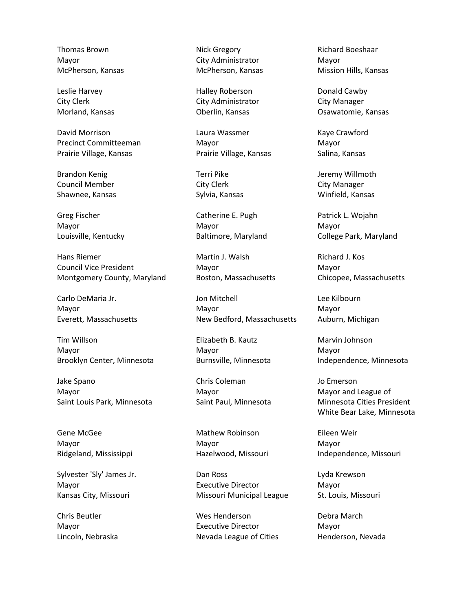Thomas Brown Mayor McPherson, Kansas

Leslie Harvey City Clerk Morland, Kansas

David Morrison Precinct Committeeman Prairie Village, Kansas

Brandon Kenig Council Member Shawnee, Kansas

Greg Fischer Mayor Louisville, Kentucky

Hans Riemer Council Vice President Montgomery County, Maryland

Carlo DeMaria Jr. Mayor Everett, Massachusetts

Tim Willson Mayor Brooklyn Center, Minnesota

Jake Spano Mayor Saint Louis Park, Minnesota

Gene McGee Mayor Ridgeland, Mississippi

Sylvester 'Sly' James Jr. Mayor Kansas City, Missouri

Chris Beutler Mayor Lincoln, Nebraska Nick Gregory City Administrator McPherson, Kansas

Halley Roberson City Administrator Oberlin, Kansas

Laura Wassmer Mayor Prairie Village, Kansas

Terri Pike City Clerk Sylvia, Kansas

Catherine E. Pugh Mayor Baltimore, Maryland

Martin J. Walsh Mayor Boston, Massachusetts

Jon Mitchell Mayor New Bedford, Massachusetts

Elizabeth B. Kautz Mayor Burnsville, Minnesota

Chris Coleman Mayor Saint Paul, Minnesota

Mathew Robinson Mayor Hazelwood, Missouri

Dan Ross Executive Director Missouri Municipal League

Wes Henderson Executive Director Nevada League of Cities Richard Boeshaar Mayor Mission Hills, Kansas

Donald Cawby City Manager Osawatomie, Kansas

Kaye Crawford Mayor Salina, Kansas

Jeremy Willmoth City Manager Winfield, Kansas

Patrick L. Wojahn Mayor College Park, Maryland

Richard J. Kos Mayor Chicopee, Massachusetts

Lee Kilbourn Mayor Auburn, Michigan

Marvin Johnson Mayor Independence, Minnesota

Jo Emerson Mayor and League of Minnesota Cities President White Bear Lake, Minnesota

Eileen Weir Mayor Independence, Missouri

Lyda Krewson Mayor St. Louis, Missouri

Debra March Mayor Henderson, Nevada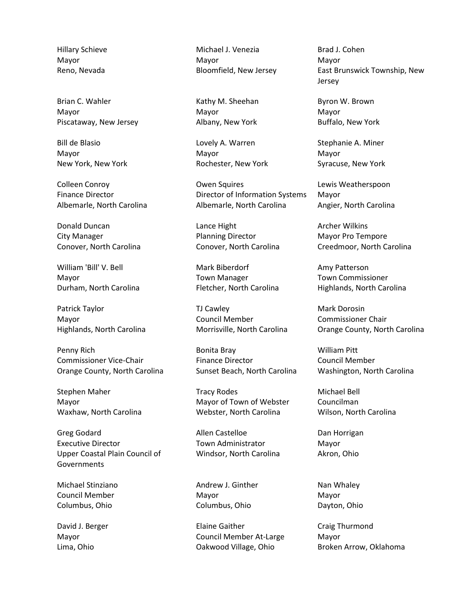Hillary Schieve Mayor Reno, Nevada

Brian C. Wahler Mayor Piscataway, New Jersey

Bill de Blasio Mayor New York, New York

Colleen Conroy Finance Director Albemarle, North Carolina

Donald Duncan City Manager Conover, North Carolina

William 'Bill' V. Bell Mayor Durham, North Carolina

Patrick Taylor Mayor Highlands, North Carolina

Penny Rich Commissioner Vice-Chair Orange County, North Carolina

Stephen Maher Mayor Waxhaw, North Carolina

Greg Godard Executive Director Upper Coastal Plain Council of **Governments** 

Michael Stinziano Council Member Columbus, Ohio

David J. Berger Mayor Lima, Ohio

Michael J. Venezia Mayor Bloomfield, New Jersey

Kathy M. Sheehan Mayor Albany, New York

Lovely A. Warren Mayor Rochester, New York

Owen Squires Director of Information Systems Albemarle, North Carolina

Lance Hight Planning Director Conover, North Carolina

Mark Biberdorf Town Manager Fletcher, North Carolina

TJ Cawley Council Member Morrisville, North Carolina

Bonita Bray Finance Director Sunset Beach, North Carolina

Tracy Rodes Mayor of Town of Webster Webster, North Carolina

Allen Castelloe Town Administrator Windsor, North Carolina

Andrew J. Ginther Mayor Columbus, Ohio

Elaine Gaither Council Member At-Large Oakwood Village, Ohio

Brad J. Cohen Mayor East Brunswick Township, New Jersey

Byron W. Brown Mayor Buffalo, New York

Stephanie A. Miner Mayor Syracuse, New York

Lewis Weatherspoon Mayor Angier, North Carolina

Archer Wilkins Mayor Pro Tempore Creedmoor, North Carolina

Amy Patterson Town Commissioner Highlands, North Carolina

Mark Dorosin Commissioner Chair Orange County, North Carolina

William Pitt Council Member Washington, North Carolina

Michael Bell Councilman Wilson, North Carolina

Dan Horrigan Mayor Akron, Ohio

Nan Whaley Mayor Dayton, Ohio

Craig Thurmond Mayor Broken Arrow, Oklahoma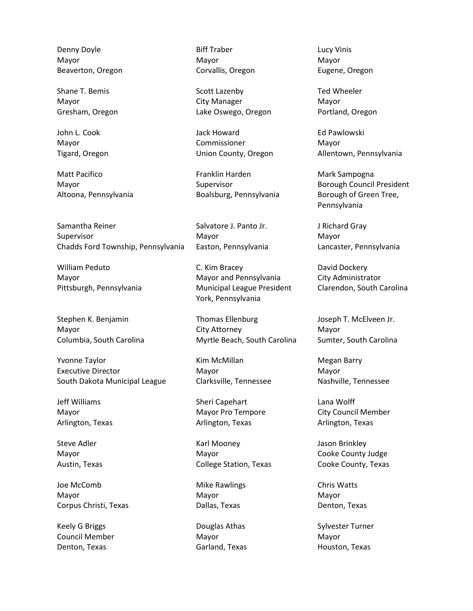Denny Doyle Mayor Beaverton, Oregon

Shane T. Bemis Mayor Gresham, Oregon

John L. Cook Mayor Tigard, Oregon

Matt Pacifico Mayor Altoona, Pennsylvania

Samantha Reiner Supervisor Chadds Ford Township, Pennsylvania

William Peduto Mayor Pittsburgh, Pennsylvania

Stephen K. Benjamin Mayor Columbia, South Carolina

Yvonne Taylor Executive Director South Dakota Municipal League

Jeff Williams Mayor Arlington, Texas

Steve Adler Mayor Austin, Texas

Joe McComb Mayor Corpus Christi, Texas

Keely G Briggs Council Member Denton, Texas

Biff Traber Mayor Corvallis, Oregon

Scott Lazenby City Manager Lake Oswego, Oregon

Jack Howard Commissioner Union County, Oregon

Franklin Harden Supervisor Boalsburg, Pennsylvania

Salvatore J. Panto Jr. Mayor Easton, Pennsylvania

C. Kim Bracey Mayor and Pennsylvania Municipal League President York, Pennsylvania

Thomas Ellenburg City Attorney Myrtle Beach, South Carolina

Kim McMillan Mayor Clarksville, Tennessee

Sheri Capehart Mayor Pro Tempore Arlington, Texas

Karl Mooney Mayor College Station, Texas

Mike Rawlings Mayor Dallas, Texas

Douglas Athas Mayor Garland, Texas Lucy Vinis Mayor Eugene, Oregon

Ted Wheeler Mayor Portland, Oregon

Ed Pawlowski Mayor Allentown, Pennsylvania

Mark Sampogna Borough Council President Borough of Green Tree, Pennsylvania

J Richard Gray Mayor Lancaster, Pennsylvania

David Dockery City Administrator Clarendon, South Carolina

Joseph T. McElveen Jr. Mayor Sumter, South Carolina

Megan Barry Mayor Nashville, Tennessee

Lana Wolff City Council Member Arlington, Texas

Jason Brinkley Cooke County Judge Cooke County, Texas

Chris Watts Mayor Denton, Texas

Sylvester Turner Mayor Houston, Texas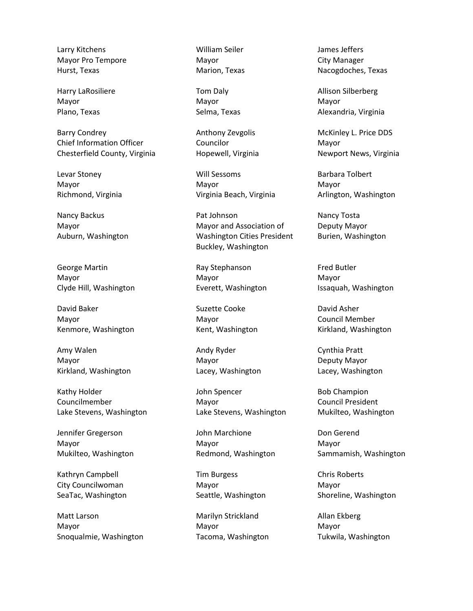Larry Kitchens Mayor Pro Tempore Hurst, Texas

Harry LaRosiliere Mayor Plano, Texas

Barry Condrey Chief Information Officer Chesterfield County, Virginia

Levar Stoney Mayor Richmond, Virginia

Nancy Backus Mayor Auburn, Washington

George Martin Mayor Clyde Hill, Washington

David Baker Mayor Kenmore, Washington

Amy Walen Mayor Kirkland, Washington

Kathy Holder Councilmember Lake Stevens, Washington

Jennifer Gregerson Mayor Mukilteo, Washington

Kathryn Campbell City Councilwoman SeaTac, Washington

Matt Larson Mayor Snoqualmie, Washington William Seiler Mayor Marion, Texas

Tom Daly Mayor Selma, Texas

Anthony Zevgolis Councilor Hopewell, Virginia

Will Sessoms Mayor Virginia Beach, Virginia

Pat Johnson Mayor and Association of Washington Cities President Buckley, Washington

Ray Stephanson Mayor Everett, Washington

Suzette Cooke Mayor Kent, Washington

Andy Ryder Mayor Lacey, Washington

John Spencer Mayor Lake Stevens, Washington

John Marchione Mayor Redmond, Washington

Tim Burgess Mayor Seattle, Washington

Marilyn Strickland Mayor Tacoma, Washington James Jeffers City Manager Nacogdoches, Texas

Allison Silberberg Mayor Alexandria, Virginia

McKinley L. Price DDS Mayor Newport News, Virginia

Barbara Tolbert Mayor Arlington, Washington

Nancy Tosta Deputy Mayor Burien, Washington

Fred Butler Mayor Issaquah, Washington

David Asher Council Member Kirkland, Washington

Cynthia Pratt Deputy Mayor Lacey, Washington

Bob Champion Council President Mukilteo, Washington

Don Gerend Mayor Sammamish, Washington

Chris Roberts Mayor Shoreline, Washington

Allan Ekberg Mayor Tukwila, Washington